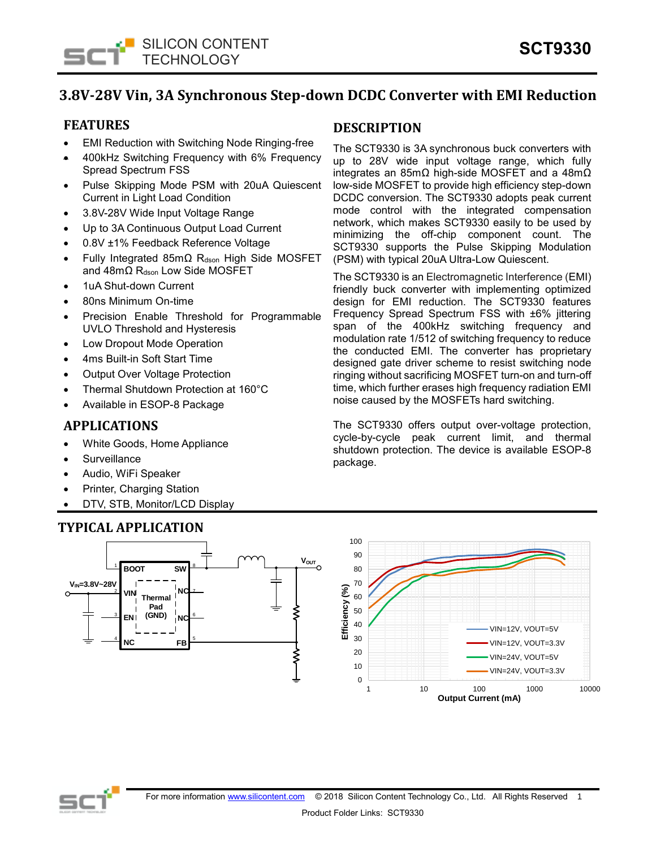

# **3.8V-28V Vin, 3A Synchronous Step-down DCDC Converter with EMI Reduction**

# **FEATURES**

- EMI Reduction with Switching Node Ringing-free
- 400kHz Switching Frequency with 6% Frequency Spread Spectrum FSS
- Pulse Skipping Mode PSM with 20uA Quiescent Current in Light Load Condition
- 3.8V-28V Wide Input Voltage Range
- Up to 3A Continuous Output Load Current
- 0.8V ±1% Feedback Reference Voltage
- Fully Integrated 85mΩ Rdson High Side MOSFET and 48mΩ R<sub>dson</sub> Low Side MOSFET
- 1uA Shut-down Current
- 80ns Minimum On-time
- Precision Enable Threshold for Programmable UVLO Threshold and Hysteresis
- Low Dropout Mode Operation
- 4ms Built-in Soft Start Time
- Output Over Voltage Protection
- Thermal Shutdown Protection at 160°C
- Available in ESOP-8 Package

## **APPLICATIONS**

- White Goods, Home Appliance
- **Surveillance**
- Audio, WiFi Speaker
- Printer, Charging Station
- DTV, STB, Monitor/LCD Display

# **TYPICAL APPLICATION**

## **DESCRIPTION**

The SCT9330 is 3A synchronous buck converters with up to 28V wide input voltage range, which fully integrates an 85mΩ high-side MOSFET and a 48mΩ low-side MOSFET to provide high efficiency step-down DCDC conversion. The SCT9330 adopts peak current mode control with the integrated compensation network, which makes SCT9330 easily to be used by minimizing the off-chip component count. The SCT9330 supports the Pulse Skipping Modulation (PSM) with typical 20uA Ultra-Low Quiescent.

The SCT9330 is an Electromagnetic Interference (EMI) friendly buck converter with implementing optimized design for EMI reduction. The SCT9330 features Frequency Spread Spectrum FSS with ±6% jittering span of the 400kHz switching frequency and modulation rate 1/512 of switching frequency to reduce the conducted EMI. The converter has proprietary designed gate driver scheme to resist switching node ringing without sacrificing MOSFET turn-on and turn-off time, which further erases high frequency radiation EMI noise caused by the MOSFETs hard switching.

The SCT9330 offers output over-voltage protection, cycle-by-cycle peak current limit, and thermal shutdown protection. The device is available ESOP-8 package.



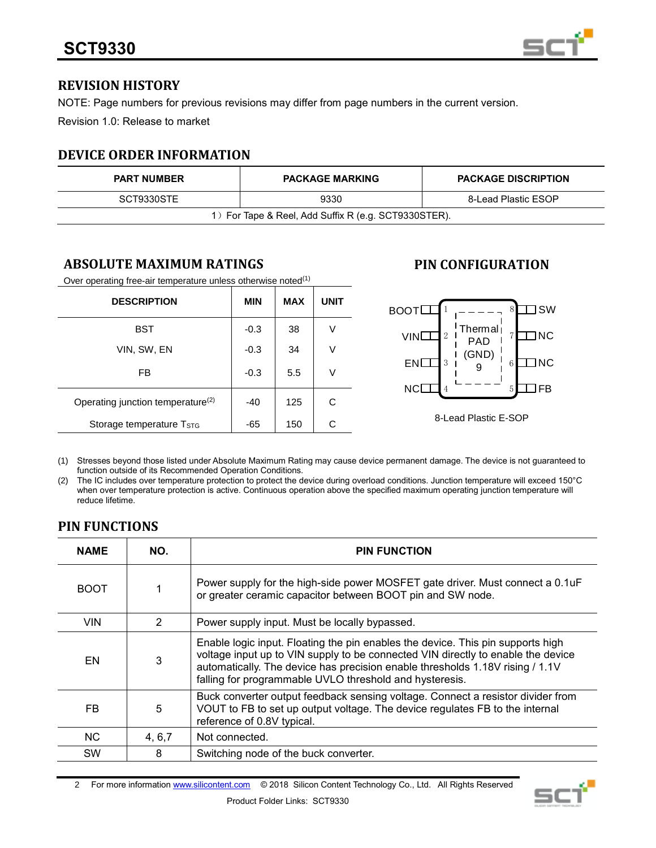

# **REVISION HISTORY**

NOTE: Page numbers for previous revisions may differ from page numbers in the current version.

Revision 1.0: Release to market

# **DEVICE ORDER INFORMATION**

| <b>PART NUMBER</b>                                   | <b>PACKAGE MARKING</b> | <b>PACKAGE DISCRIPTION</b> |  |  |
|------------------------------------------------------|------------------------|----------------------------|--|--|
| SCT9330STE                                           | 9330                   | 8-Lead Plastic ESOP        |  |  |
| 1) For Tape & Reel, Add Suffix R (e.g. SCT9330STER). |                        |                            |  |  |

# **ABSOLUTE MAXIMUM RATINGS**

Over operating free-air temperature unless otherwise noted<sup>(1)</sup>

| <b>DESCRIPTION</b>                            | <b>MIN</b> | <b>MAX</b> | <b>UNIT</b> |
|-----------------------------------------------|------------|------------|-------------|
| BST                                           | $-0.3$     | 38         | ٧           |
| VIN, SW, EN                                   | $-0.3$     | 34         | V           |
| FB                                            | $-0.3$     | 5.5        | ٧           |
| Operating junction temperature <sup>(2)</sup> | -40        | 125        | C           |
| Storage temperature T <sub>STG</sub>          | -65        | 150        | С           |

# **PIN CONFIGURATION**



(1) Stresses beyond those listed under Absolute Maximum Rating may cause device permanent damage. The device is not guaranteed to function outside of its Recommended Operation Conditions.

(2) The IC includes over temperature protection to protect the device during overload conditions. Junction temperature will exceed 150°C when over temperature protection is active. Continuous operation above the specified maximum operating junction temperature will reduce lifetime.

# **PIN FUNCTIONS**

| <b>NAME</b> | NO.           | <b>PIN FUNCTION</b>                                                                                                                                                                                                                                                                                             |  |
|-------------|---------------|-----------------------------------------------------------------------------------------------------------------------------------------------------------------------------------------------------------------------------------------------------------------------------------------------------------------|--|
| <b>BOOT</b> |               | Power supply for the high-side power MOSFET gate driver. Must connect a 0.1uF<br>or greater ceramic capacitor between BOOT pin and SW node.                                                                                                                                                                     |  |
| <b>VIN</b>  | $\mathcal{P}$ | Power supply input. Must be locally bypassed.                                                                                                                                                                                                                                                                   |  |
| EN          | 3             | Enable logic input. Floating the pin enables the device. This pin supports high<br>voltage input up to VIN supply to be connected VIN directly to enable the device<br>automatically. The device has precision enable thresholds 1.18V rising / 1.1V<br>falling for programmable UVLO threshold and hysteresis. |  |
| FB.         | 5             | Buck converter output feedback sensing voltage. Connect a resistor divider from<br>VOUT to FB to set up output voltage. The device regulates FB to the internal<br>reference of 0.8V typical.                                                                                                                   |  |
| <b>NC</b>   | 4, 6, 7       | Not connected.                                                                                                                                                                                                                                                                                                  |  |
| <b>SW</b>   | 8             | Switching node of the buck converter.                                                                                                                                                                                                                                                                           |  |

2 For more informatio[n www.silicontent.com](http://www.silicontent.com/) © 2018 Silicon Content Technology Co., Ltd. All Rights Reserved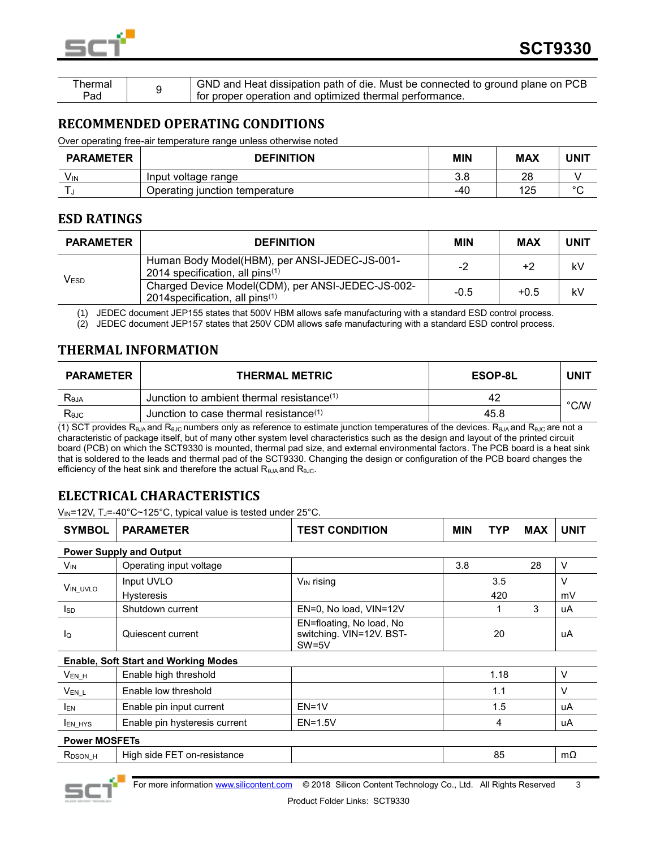

| `hermal |  | (GND and Heat dissipation path of die. Must be connected to ground plane on PCB |
|---------|--|---------------------------------------------------------------------------------|
| Pad     |  | <sup>1</sup> for proper operation and optimized thermal performance.            |

## **RECOMMENDED OPERATING CONDITIONS**

Over operating free-air temperature range unless otherwise noted

| <b>PARAMETER</b> | <b>DEFINITION</b>              | MIN | MAX | UNIT   |
|------------------|--------------------------------|-----|-----|--------|
| V۱۸              | Input voltage range            | 3.8 | 28  |        |
|                  | Operating junction temperature | -40 | 125 | $\sim$ |

## **ESD RATINGS**

| <b>PARAMETER</b> | <b>DEFINITION</b>                                                                       | <b>MIN</b> | <b>MAX</b> | <b>UNIT</b> |
|------------------|-----------------------------------------------------------------------------------------|------------|------------|-------------|
| Vesd             | Human Body Model(HBM), per ANSI-JEDEC-JS-001-<br>2014 specification, all pins $(1)$     | $-2$       | +2         | kV          |
|                  | Charged Device Model(CDM), per ANSI-JEDEC-JS-002-<br>2014 specification, all pins $(1)$ | $-0.5$     | $+0.5$     | kV          |

(1) JEDEC document JEP155 states that 500V HBM allows safe manufacturing with a standard ESD control process.

(2) JEDEC document JEP157 states that 250V CDM allows safe manufacturing with a standard ESD control process.

# **THERMAL INFORMATION**

| <b>PARAMETER</b> | <b>THERMAL METRIC</b>                        | <b>ESOP-8L</b> | <b>UNI1</b>    |
|------------------|----------------------------------------------|----------------|----------------|
| Reja             | Junction to ambient thermal resistance $(1)$ | 42             | $^{\circ}$ C/W |
| Rejc             | Junction to case thermal resistance $(1)$    | 45.8           |                |

(1) SCT provides R<sub>θJA</sub> and R<sub>θJC</sub> numbers only as reference to estimate junction temperatures of the devices. R<sub>θJA</sub> and R<sub>θJC</sub> are not a characteristic of package itself, but of many other system level characteristics such as the design and layout of the printed circuit board (PCB) on which the SCT9330 is mounted, thermal pad size, and external environmental factors. The PCB board is a heat sink that is soldered to the leads and thermal pad of the SCT9330. Changing the design or configuration of the PCB board changes the efficiency of the heat sink and therefore the actual R<sub>θJA</sub> and R<sub>θJC</sub>.

# **ELECTRICAL CHARACTERISTICS**

V<sub>IN</sub>=12V, TJ=-40°C~125°C, typical value is tested under 25°C.

| <b>SYMBOL</b>         | <b>PARAMETER</b>                            | <b>TEST CONDITION</b>                                           | <b>MIN</b> | TYP  | <b>MAX</b> | <b>UNIT</b> |  |
|-----------------------|---------------------------------------------|-----------------------------------------------------------------|------------|------|------------|-------------|--|
|                       | <b>Power Supply and Output</b>              |                                                                 |            |      |            |             |  |
| <b>V<sub>IN</sub></b> | Operating input voltage                     |                                                                 | 3.8        |      | 28         | $\vee$      |  |
| VIN UVLO              | Input UVLO                                  | V <sub>IN</sub> rising                                          |            | 3.5  |            | $\vee$      |  |
|                       | <b>Hysteresis</b>                           |                                                                 |            | 420  |            | mV          |  |
| <b>I</b> sp           | Shutdown current                            | EN=0, No load, VIN=12V                                          |            |      | 3          | uA          |  |
| lo                    | Quiescent current                           | EN=floating, No load, No<br>switching. VIN=12V. BST-<br>$SW=5V$ |            | 20   |            | uA          |  |
|                       | <b>Enable, Soft Start and Working Modes</b> |                                                                 |            |      |            |             |  |
| $V_{EN_H}$            | Enable high threshold                       |                                                                 |            | 1.18 |            | $\vee$      |  |
| $V_{EN_L}$            | Enable low threshold                        |                                                                 |            | 1.1  |            | $\vee$      |  |
| <b>IEN</b>            | Enable pin input current                    | $EN=1V$                                                         |            | 1.5  |            | uA          |  |
| <b>LEN HYS</b>        | Enable pin hysteresis current               | $EN=1.5V$                                                       |            | 4    |            | uA          |  |
|                       | <b>Power MOSFETs</b>                        |                                                                 |            |      |            |             |  |
| R <sub>DSON</sub> H   | High side FET on-resistance                 |                                                                 |            | 85   |            | mΩ          |  |

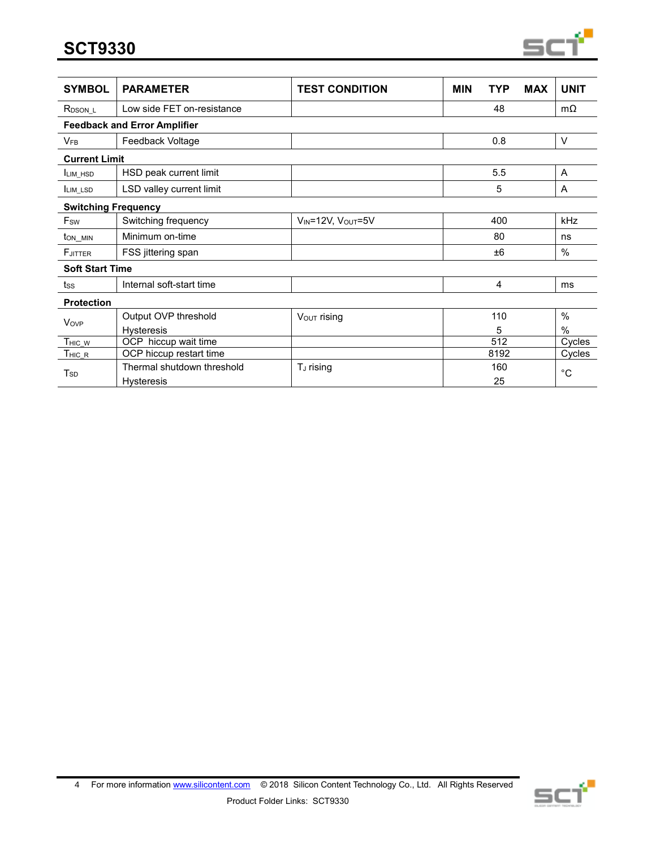**SCT9330**



| <b>SYMBOL</b>              | <b>PARAMETER</b>                    | <b>TEST CONDITION</b>   | <b>MIN</b> | TYP  | <b>MAX</b> | <b>UNIT</b>    |
|----------------------------|-------------------------------------|-------------------------|------------|------|------------|----------------|
| R <sub>DSON_L</sub>        | Low side FET on-resistance          |                         |            | 48   |            | $m\Omega$      |
|                            | <b>Feedback and Error Amplifier</b> |                         |            |      |            |                |
| $V_{FB}$                   | Feedback Voltage                    |                         |            | 0.8  |            | $\vee$         |
| <b>Current Limit</b>       |                                     |                         |            |      |            |                |
| <b>ILIM HSD</b>            | HSD peak current limit              |                         |            | 5.5  |            | $\overline{A}$ |
| LIM LSD                    | LSD valley current limit            |                         |            | 5    |            | A              |
| <b>Switching Frequency</b> |                                     |                         |            |      |            |                |
| Fsw                        | Switching frequency                 | VIN=12V, VOUT=5V        |            | 400  |            | kHz            |
| ton_min                    | Minimum on-time                     |                         |            | 80   |            | ns             |
| <b>F</b> JITTER            | FSS jittering span                  |                         |            | ±6   |            | $\%$           |
| <b>Soft Start Time</b>     |                                     |                         |            |      |            |                |
| tss                        | Internal soft-start time            |                         |            | 4    |            | ms             |
| <b>Protection</b>          |                                     |                         |            |      |            |                |
| <b>Vov<sub>P</sub></b>     | Output OVP threshold                | $V_{\text{OUT}}$ rising |            | 110  |            | $\%$           |
|                            | <b>Hysteresis</b>                   |                         |            | 5    |            | $\%$           |
| $T$ HIC_W                  | OCP hiccup wait time                |                         |            | 512  |            | Cycles         |
| $T$ HIC $_R$               | OCP hiccup restart time             |                         |            | 8192 |            | Cycles         |
| $\mathsf{T}_{\mathsf{SD}}$ | Thermal shutdown threshold          | T <sub>J</sub> rising   |            | 160  |            | °C             |
|                            | <b>Hysteresis</b>                   |                         |            | 25   |            |                |

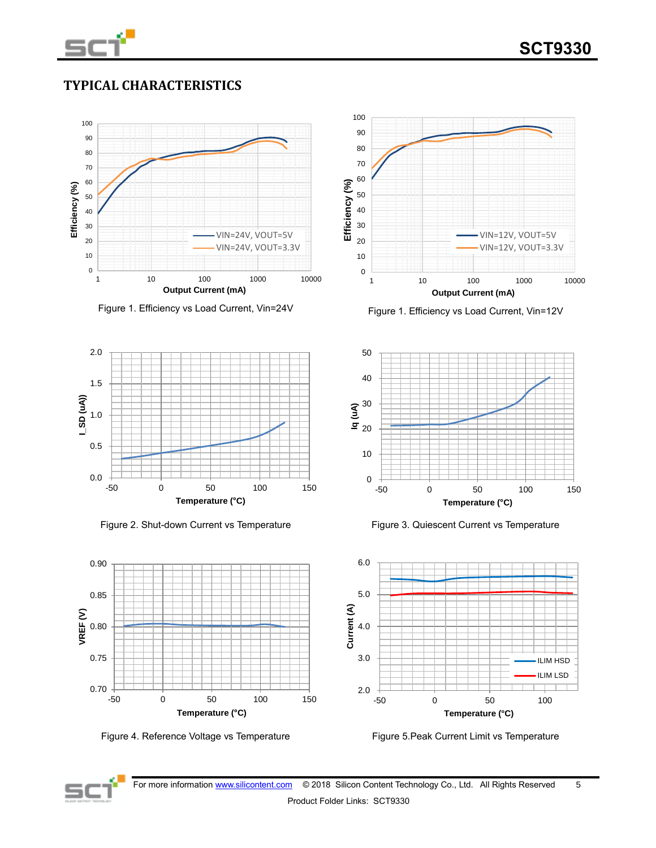

# **TYPICAL CHARACTERISTICS**



Figure 1. Efficiency vs Load Current, Vin=24V Figure 1. Efficiency vs Load Current, Vin=12V



Figure 2. Shut-down Current vs Temperature Figure 3. Quiescent Current vs Temperature













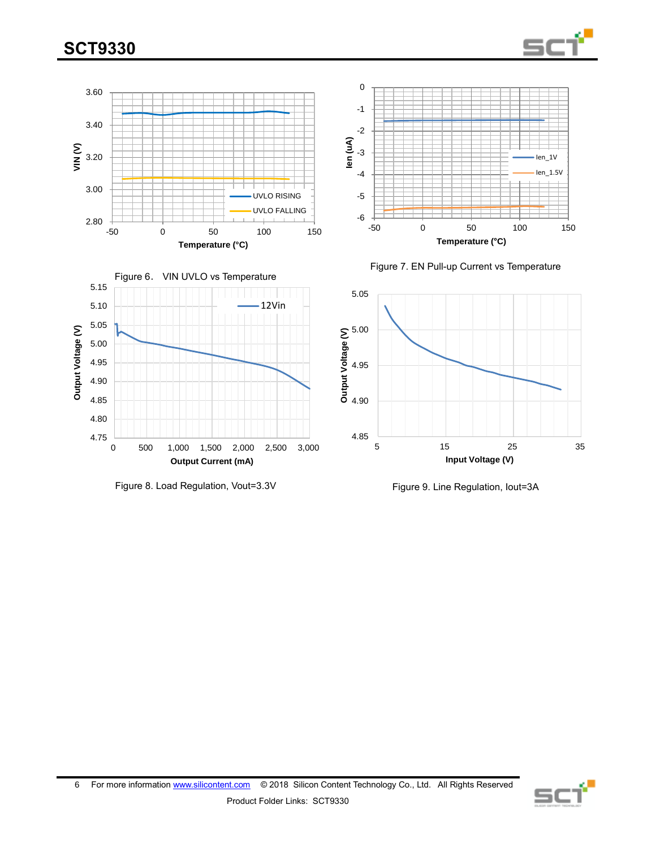







Figure 8. Load Regulation, Vout=3.3V Figure 9. Line Regulation, Iout=3A





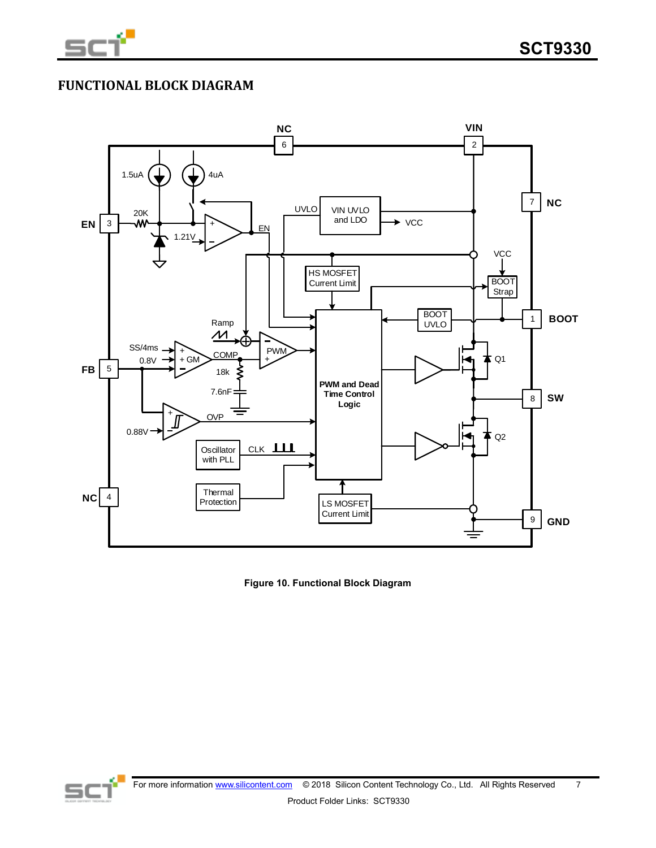

# **FUNCTIONAL BLOCK DIAGRAM**



**Figure 10. Functional Block Diagram**

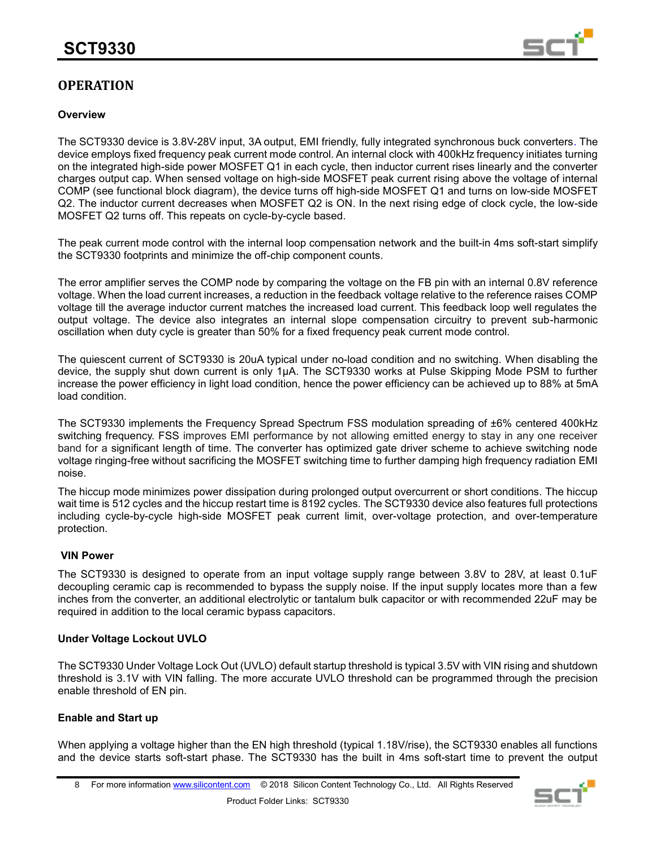

# **OPERATION**

## **Overview**

The SCT9330 device is 3.8V-28V input, 3A output, EMI friendly, fully integrated synchronous buck converters. The device employs fixed frequency peak current mode control. An internal clock with 400kHz frequency initiates turning on the integrated high-side power MOSFET Q1 in each cycle, then inductor current rises linearly and the converter charges output cap. When sensed voltage on high-side MOSFET peak current rising above the voltage of internal COMP (see functional block diagram), the device turns off high-side MOSFET Q1 and turns on low-side MOSFET Q2. The inductor current decreases when MOSFET Q2 is ON. In the next rising edge of clock cycle, the low-side MOSFET Q2 turns off. This repeats on cycle-by-cycle based.

The peak current mode control with the internal loop compensation network and the built-in 4ms soft-start simplify the SCT9330 footprints and minimize the off-chip component counts.

The error amplifier serves the COMP node by comparing the voltage on the FB pin with an internal 0.8V reference voltage. When the load current increases, a reduction in the feedback voltage relative to the reference raises COMP voltage till the average inductor current matches the increased load current. This feedback loop well regulates the output voltage. The device also integrates an internal slope compensation circuitry to prevent sub-harmonic oscillation when duty cycle is greater than 50% for a fixed frequency peak current mode control.

The quiescent current of SCT9330 is 20uA typical under no-load condition and no switching. When disabling the device, the supply shut down current is only 1μA. The SCT9330 works at Pulse Skipping Mode PSM to further increase the power efficiency in light load condition, hence the power efficiency can be achieved up to 88% at 5mA load condition.

The SCT9330 implements the Frequency Spread Spectrum FSS modulation spreading of ±6% centered 400kHz switching frequency. FSS improves EMI performance by not allowing emitted energy to stay in any one receiver band for a significant length of time. The converter has optimized gate driver scheme to achieve switching node voltage ringing-free without sacrificing the MOSFET switching time to further damping high frequency radiation EMI noise.

The hiccup mode minimizes power dissipation during prolonged output overcurrent or short conditions. The hiccup wait time is 512 cycles and the hiccup restart time is 8192 cycles. The SCT9330 device also features full protections including cycle-by-cycle high-side MOSFET peak current limit, over-voltage protection, and over-temperature protection.

## **VIN Power**

The SCT9330 is designed to operate from an input voltage supply range between 3.8V to 28V, at least 0.1uF decoupling ceramic cap is recommended to bypass the supply noise. If the input supply locates more than a few inches from the converter, an additional electrolytic or tantalum bulk capacitor or with recommended 22uF may be required in addition to the local ceramic bypass capacitors.

#### **Under Voltage Lockout UVLO**

The SCT9330 Under Voltage Lock Out (UVLO) default startup threshold is typical 3.5V with VIN rising and shutdown threshold is 3.1V with VIN falling. The more accurate UVLO threshold can be programmed through the precision enable threshold of EN pin.

## **Enable and Start up**

When applying a voltage higher than the EN high threshold (typical 1.18V/rise), the SCT9330 enables all functions and the device starts soft-start phase. The SCT9330 has the built in 4ms soft-start time to prevent the output

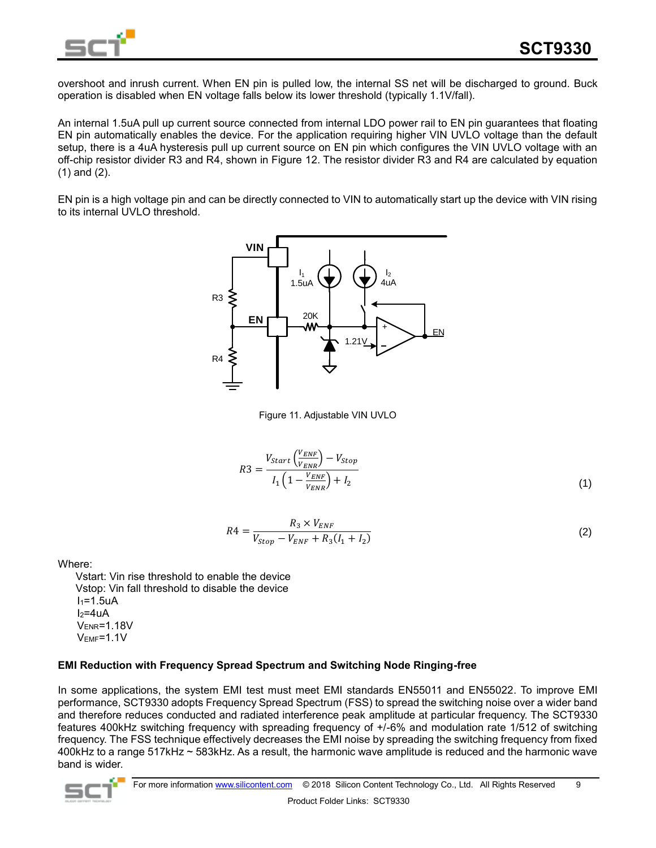

overshoot and inrush current. When EN pin is pulled low, the internal SS net will be discharged to ground. Buck operation is disabled when EN voltage falls below its lower threshold (typically 1.1V/fall).

An internal 1.5uA pull up current source connected from internal LDO power rail to EN pin guarantees that floating EN pin automatically enables the device. For the application requiring higher VIN UVLO voltage than the default setup, there is a 4uA hysteresis pull up current source on EN pin which configures the VIN UVLO voltage with an off-chip resistor divider R3 and R4, shown in Figure 12. The resistor divider R3 and R4 are calculated by equation (1) and (2).

EN pin is a high voltage pin and can be directly connected to VIN to automatically start up the device with VIN rising to its internal UVLO threshold.



Figure 11. Adjustable VIN UVLO

$$
R3 = \frac{V_{start}\left(\frac{V_{ENF}}{V_{ENR}}\right) - V_{Stop}}{I_1 \left(1 - \frac{V_{ENF}}{V_{ENR}}\right) + I_2}
$$
\n
$$
\tag{1}
$$

$$
R4 = \frac{R_3 \times V_{ENF}}{V_{Stop} - V_{ENF} + R_3(I_1 + I_2)}
$$
\n(2)

Where:

 Vstart: Vin rise threshold to enable the device Vstop: Vin fall threshold to disable the device  $I_1=1.5uA$  $I_2=4uA$ VENR=1.18V VEMF=1.1V

## **EMI Reduction with Frequency Spread Spectrum and Switching Node Ringing-free**

In some applications, the system EMI test must meet EMI standards EN55011 and EN55022. To improve EMI performance, SCT9330 adopts Frequency Spread Spectrum (FSS) to spread the switching noise over a wider band and therefore reduces conducted and radiated interference peak amplitude at particular frequency. The SCT9330 features 400kHz switching frequency with spreading frequency of +/-6% and modulation rate 1/512 of switching frequency. The FSS technique effectively decreases the EMI noise by spreading the switching frequency from fixed 400kHz to a range 517kHz ~ 583kHz. As a result, the harmonic wave amplitude is reduced and the harmonic wave band is wider.

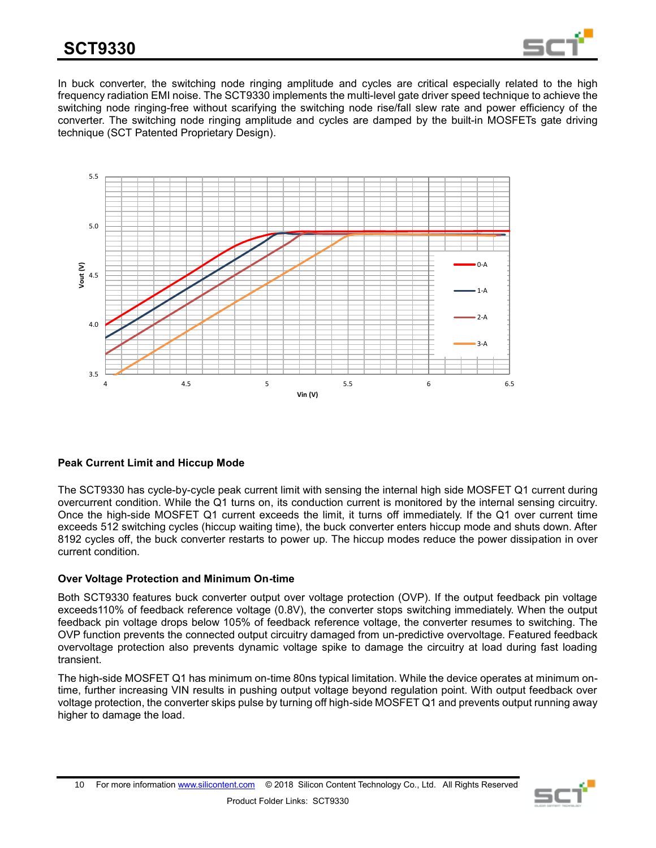

In buck converter, the switching node ringing amplitude and cycles are critical especially related to the high frequency radiation EMI noise. The SCT9330 implements the multi-level gate driver speed technique to achieve the switching node ringing-free without scarifying the switching node rise/fall slew rate and power efficiency of the converter. The switching node ringing amplitude and cycles are damped by the built-in MOSFETs gate driving technique (SCT Patented Proprietary Design).



## **Peak Current Limit and Hiccup Mode**

The SCT9330 has cycle-by-cycle peak current limit with sensing the internal high side MOSFET Q1 current during overcurrent condition. While the Q1 turns on, its conduction current is monitored by the internal sensing circuitry. Once the high-side MOSFET Q1 current exceeds the limit, it turns off immediately. If the Q1 over current time exceeds 512 switching cycles (hiccup waiting time), the buck converter enters hiccup mode and shuts down. After 8192 cycles off, the buck converter restarts to power up. The hiccup modes reduce the power dissipation in over current condition.

## **Over Voltage Protection and Minimum On-time**

Both SCT9330 features buck converter output over voltage protection (OVP). If the output feedback pin voltage exceeds110% of feedback reference voltage (0.8V), the converter stops switching immediately. When the output feedback pin voltage drops below 105% of feedback reference voltage, the converter resumes to switching. The OVP function prevents the connected output circuitry damaged from un-predictive overvoltage. Featured feedback overvoltage protection also prevents dynamic voltage spike to damage the circuitry at load during fast loading transient.

The high-side MOSFET Q1 has minimum on-time 80ns typical limitation. While the device operates at minimum ontime, further increasing VIN results in pushing output voltage beyond regulation point. With output feedback over voltage protection, the converter skips pulse by turning off high-side MOSFET Q1 and prevents output running away higher to damage the load.

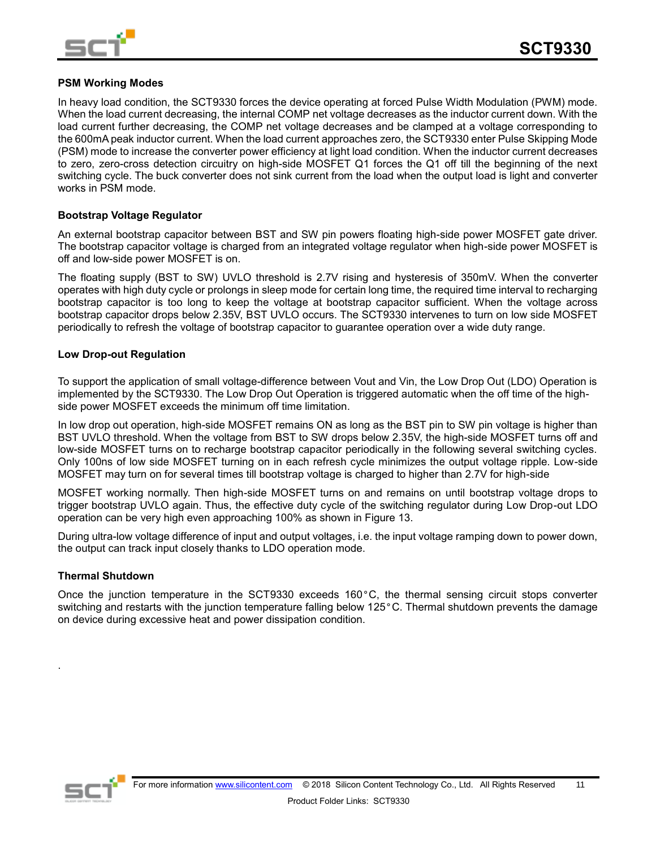

### **PSM Working Modes**

In heavy load condition, the SCT9330 forces the device operating at forced Pulse Width Modulation (PWM) mode. When the load current decreasing, the internal COMP net voltage decreases as the inductor current down. With the load current further decreasing, the COMP net voltage decreases and be clamped at a voltage corresponding to the 600mA peak inductor current. When the load current approaches zero, the SCT9330 enter Pulse Skipping Mode (PSM) mode to increase the converter power efficiency at light load condition. When the inductor current decreases to zero, zero-cross detection circuitry on high-side MOSFET Q1 forces the Q1 off till the beginning of the next switching cycle. The buck converter does not sink current from the load when the output load is light and converter works in PSM mode.

#### **Bootstrap Voltage Regulator**

An external bootstrap capacitor between BST and SW pin powers floating high-side power MOSFET gate driver. The bootstrap capacitor voltage is charged from an integrated voltage regulator when high-side power MOSFET is off and low-side power MOSFET is on.

The floating supply (BST to SW) UVLO threshold is 2.7V rising and hysteresis of 350mV. When the converter operates with high duty cycle or prolongs in sleep mode for certain long time, the required time interval to recharging bootstrap capacitor is too long to keep the voltage at bootstrap capacitor sufficient. When the voltage across bootstrap capacitor drops below 2.35V, BST UVLO occurs. The SCT9330 intervenes to turn on low side MOSFET periodically to refresh the voltage of bootstrap capacitor to guarantee operation over a wide duty range.

#### **Low Drop-out Regulation**

To support the application of small voltage-difference between Vout and Vin, the Low Drop Out (LDO) Operation is implemented by the SCT9330. The Low Drop Out Operation is triggered automatic when the off time of the highside power MOSFET exceeds the minimum off time limitation.

In low drop out operation, high-side MOSFET remains ON as long as the BST pin to SW pin voltage is higher than BST UVLO threshold. When the voltage from BST to SW drops below 2.35V, the high-side MOSFET turns off and low-side MOSFET turns on to recharge bootstrap capacitor periodically in the following several switching cycles. Only 100ns of low side MOSFET turning on in each refresh cycle minimizes the output voltage ripple. Low-side MOSFET may turn on for several times till bootstrap voltage is charged to higher than 2.7V for high-side

MOSFET working normally. Then high-side MOSFET turns on and remains on until bootstrap voltage drops to trigger bootstrap UVLO again. Thus, the effective duty cycle of the switching regulator during Low Drop-out LDO operation can be very high even approaching 100% as shown in Figure 13.

During ultra-low voltage difference of input and output voltages, i.e. the input voltage ramping down to power down, the output can track input closely thanks to LDO operation mode.

#### **Thermal Shutdown**

Once the junction temperature in the SCT9330 exceeds 160°C, the thermal sensing circuit stops converter switching and restarts with the junction temperature falling below 125°C. Thermal shutdown prevents the damage on device during excessive heat and power dissipation condition.



.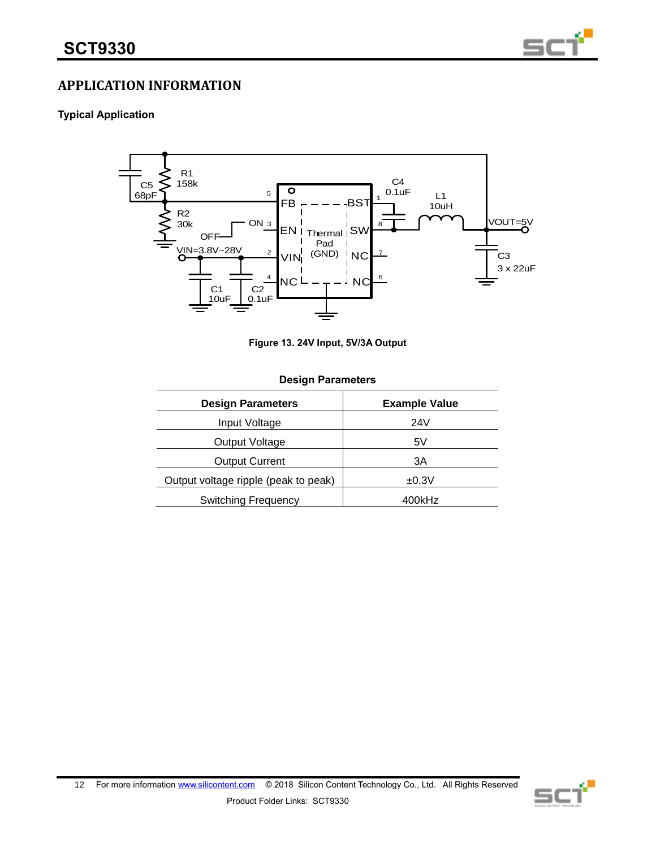

# **APPLICATION INFORMATION**

## **Typical Application**



**Figure 13. 24V Input, 5V/3A Output**

#### **Design Parameters**

| <b>Design Parameters</b>             | <b>Example Value</b> |
|--------------------------------------|----------------------|
| Input Voltage                        | 24V                  |
| Output Voltage                       | 5V                   |
| <b>Output Current</b>                | ЗΑ                   |
| Output voltage ripple (peak to peak) | ±0.3V                |
| <b>Switching Frequency</b>           | 400kHz               |

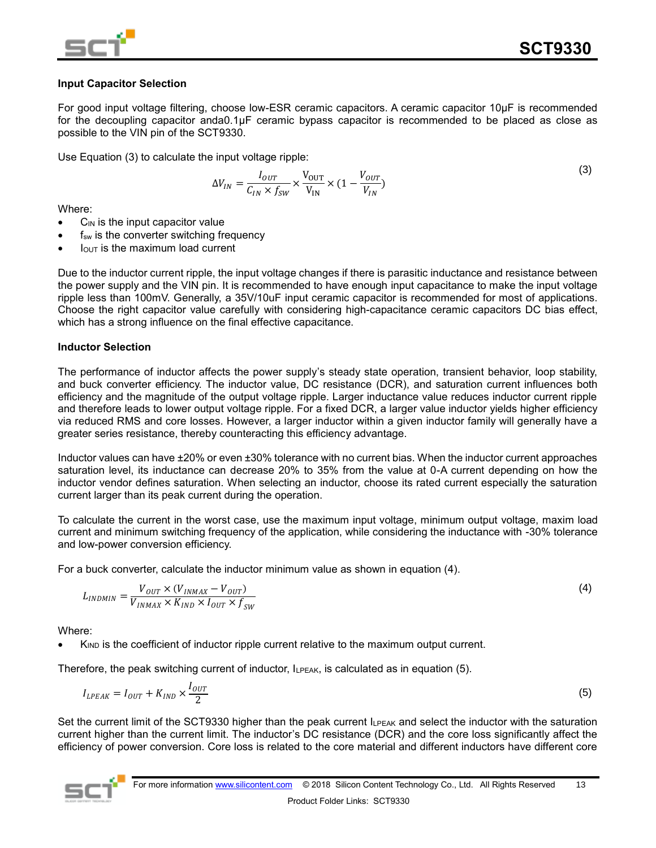

## **Input Capacitor Selection**

For good input voltage filtering, choose low-ESR ceramic capacitors. A ceramic capacitor 10μF is recommended for the decoupling capacitor anda0.1μF ceramic bypass capacitor is recommended to be placed as close as possible to the VIN pin of the SCT9330.

Use Equation (3) to calculate the input voltage ripple:

$$
\Delta V_{IN} = \frac{I_{OUT}}{C_{IN} \times f_{SW}} \times \frac{V_{OUT}}{V_{IN}} \times (1 - \frac{V_{OUT}}{V_{IN}})
$$
(3)

Where:

- $C_{IN}$  is the input capacitor value
- $f_{sw}$  is the converter switching frequency
- $I<sub>OUT</sub>$  is the maximum load current

Due to the inductor current ripple, the input voltage changes if there is parasitic inductance and resistance between the power supply and the VIN pin. It is recommended to have enough input capacitance to make the input voltage ripple less than 100mV. Generally, a 35V/10uF input ceramic capacitor is recommended for most of applications. Choose the right capacitor value carefully with considering high-capacitance ceramic capacitors DC bias effect, which has a strong influence on the final effective capacitance.

## **Inductor Selection**

The performance of inductor affects the power supply's steady state operation, transient behavior, loop stability, and buck converter efficiency. The inductor value, DC resistance (DCR), and saturation current influences both efficiency and the magnitude of the output voltage ripple. Larger inductance value reduces inductor current ripple and therefore leads to lower output voltage ripple. For a fixed DCR, a larger value inductor yields higher efficiency via reduced RMS and core losses. However, a larger inductor within a given inductor family will generally have a greater series resistance, thereby counteracting this efficiency advantage.

Inductor values can have ±20% or even ±30% tolerance with no current bias. When the inductor current approaches saturation level, its inductance can decrease 20% to 35% from the value at 0-A current depending on how the inductor vendor defines saturation. When selecting an inductor, choose its rated current especially the saturation current larger than its peak current during the operation.

To calculate the current in the worst case, use the maximum input voltage, minimum output voltage, maxim load current and minimum switching frequency of the application, while considering the inductance with -30% tolerance and low-power conversion efficiency.

For a buck converter, calculate the inductor minimum value as shown in equation (4).

$$
L_{INDMIN} = \frac{V_{OUT} \times (V_{INMAX} - V_{OUT})}{V_{INMAX} \times K_{IND} \times I_{OUT} \times f_{SW}}
$$
(4)

Where:

K<sub>IND</sub> is the coefficient of inductor ripple current relative to the maximum output current.

Therefore, the peak switching current of inductor, ILPEAK, is calculated as in equation (5).

$$
I_{LPEAK} = I_{OUT} + K_{IND} \times \frac{I_{OUT}}{2}
$$
 (5)

Set the current limit of the SCT9330 higher than the peak current I<sub>LPEAK</sub> and select the inductor with the saturation current higher than the current limit. The inductor's DC resistance (DCR) and the core loss significantly affect the efficiency of power conversion. Core loss is related to the core material and different inductors have different core

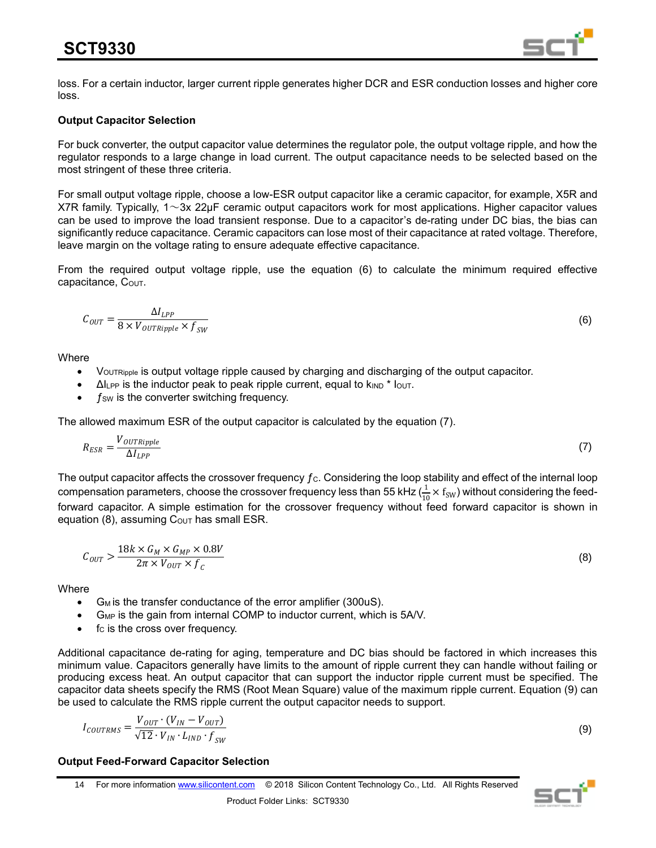

loss. For a certain inductor, larger current ripple generates higher DCR and ESR conduction losses and higher core loss.

## **Output Capacitor Selection**

For buck converter, the output capacitor value determines the regulator pole, the output voltage ripple, and how the regulator responds to a large change in load current. The output capacitance needs to be selected based on the most stringent of these three criteria.

For small output voltage ripple, choose a low-ESR output capacitor like a ceramic capacitor, for example, X5R and X7R family. Typically,  $1 \sim 3x$  22µF ceramic output capacitors work for most applications. Higher capacitor values can be used to improve the load transient response. Due to a capacitor's de-rating under DC bias, the bias can significantly reduce capacitance. Ceramic capacitors can lose most of their capacitance at rated voltage. Therefore, leave margin on the voltage rating to ensure adequate effective capacitance.

From the required output voltage ripple, use the equation (6) to calculate the minimum required effective capacitance,  $C_{\text{OUT}}$ .

$$
C_{OUT} = \frac{\Delta I_{LPP}}{8 \times V_{OUTRipple} \times f_{SW}}\tag{6}
$$

**Where** 

- VOUTRipple is output voltage ripple caused by charging and discharging of the output capacitor.
- $\Delta l_{\text{LPP}}$  is the inductor peak to peak ripple current, equal to  $k_{\text{IND}}$  \*  $l_{\text{OUT}}$ .
- $f_{SW}$  is the converter switching frequency.

The allowed maximum ESR of the output capacitor is calculated by the equation (7).

$$
R_{ESR} = \frac{V_{OUTRipple}}{\Delta l_{LPP}}\tag{7}
$$

The output capacitor affects the crossover frequency  $f_c$ . Considering the loop stability and effect of the internal loop compensation parameters, choose the crossover frequency less than 55 kHz ( $\frac{1}{10} \times$   $\rm f_{\rm SW})$  without considering the feedforward capacitor. A simple estimation for the crossover frequency without feed forward capacitor is shown in equation (8), assuming  $C_{\text{OUT}}$  has small ESR.

$$
C_{OUT} > \frac{18k \times G_M \times G_{MP} \times 0.8V}{2\pi \times V_{OUT} \times f_c}
$$
\n(8)

**Where** 

- G<sub>M</sub> is the transfer conductance of the error amplifier (300uS).
- G<sub>MP</sub> is the gain from internal COMP to inductor current, which is 5A/V.
- $\bullet$  f<sub>C</sub> is the cross over frequency.

Additional capacitance de-rating for aging, temperature and DC bias should be factored in which increases this minimum value. Capacitors generally have limits to the amount of ripple current they can handle without failing or producing excess heat. An output capacitor that can support the inductor ripple current must be specified. The capacitor data sheets specify the RMS (Root Mean Square) value of the maximum ripple current. Equation (9) can be used to calculate the RMS ripple current the output capacitor needs to support.

$$
I_{COUTRMS} = \frac{V_{OUT} \cdot (V_{IN} - V_{OUT})}{\sqrt{12} \cdot V_{IN} \cdot L_{IND} \cdot f_{SW}}
$$

#### **Output Feed-Forward Capacitor Selection**

14 For more information [www.silicontent.com](http://www.silicontent.com/) © 2018 Silicon Content Technology Co., Ltd. All Rights Reserved



(9)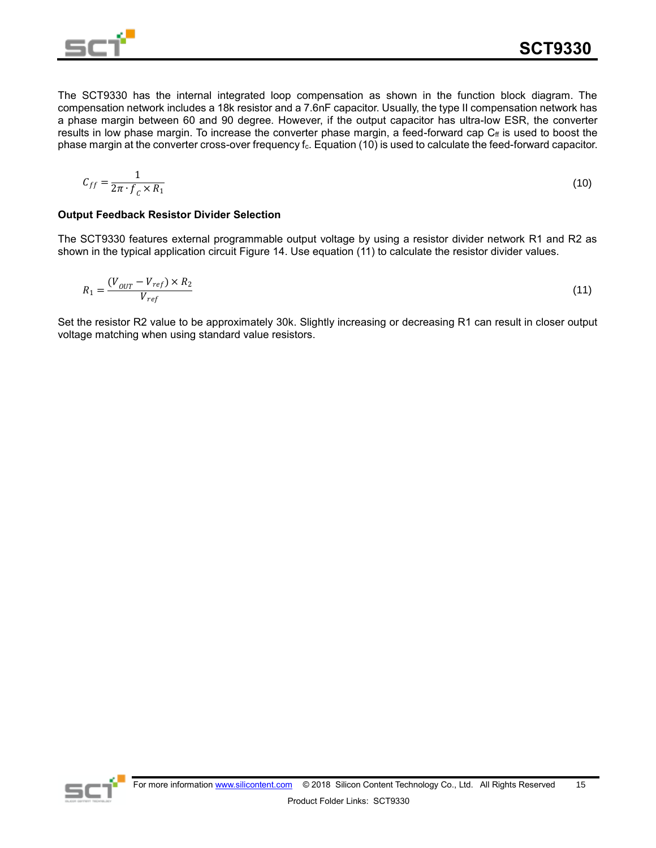

The SCT9330 has the internal integrated loop compensation as shown in the function block diagram. The compensation network includes a 18k resistor and a 7.6nF capacitor. Usually, the type II compensation network has a phase margin between 60 and 90 degree. However, if the output capacitor has ultra-low ESR, the converter results in low phase margin. To increase the converter phase margin, a feed-forward cap  $C_f$  is used to boost the phase margin at the converter cross-over frequency f<sub>c</sub>. Equation (10) is used to calculate the feed-forward capacitor.

$$
C_{ff} = \frac{1}{2\pi \cdot f_c \times R_1} \tag{10}
$$

#### **Output Feedback Resistor Divider Selection**

The SCT9330 features external programmable output voltage by using a resistor divider network R1 and R2 as shown in the typical application circuit Figure 14. Use equation (11) to calculate the resistor divider values.

$$
R_1 = \frac{(V_{OUT} - V_{ref}) \times R_2}{V_{ref}}
$$
\n
$$
(11)
$$

Set the resistor R2 value to be approximately 30k. Slightly increasing or decreasing R1 can result in closer output voltage matching when using standard value resistors.

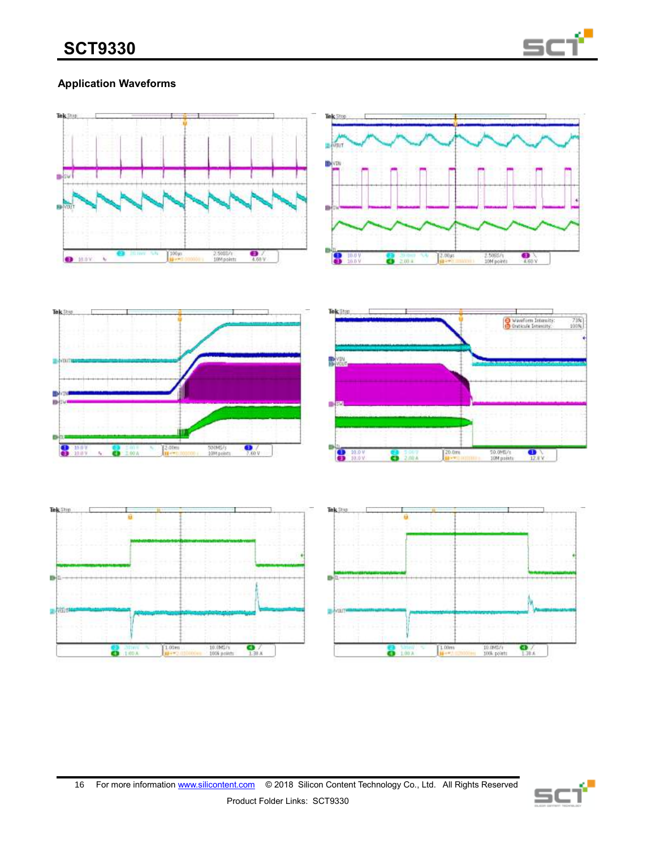

# **Application Waveforms**



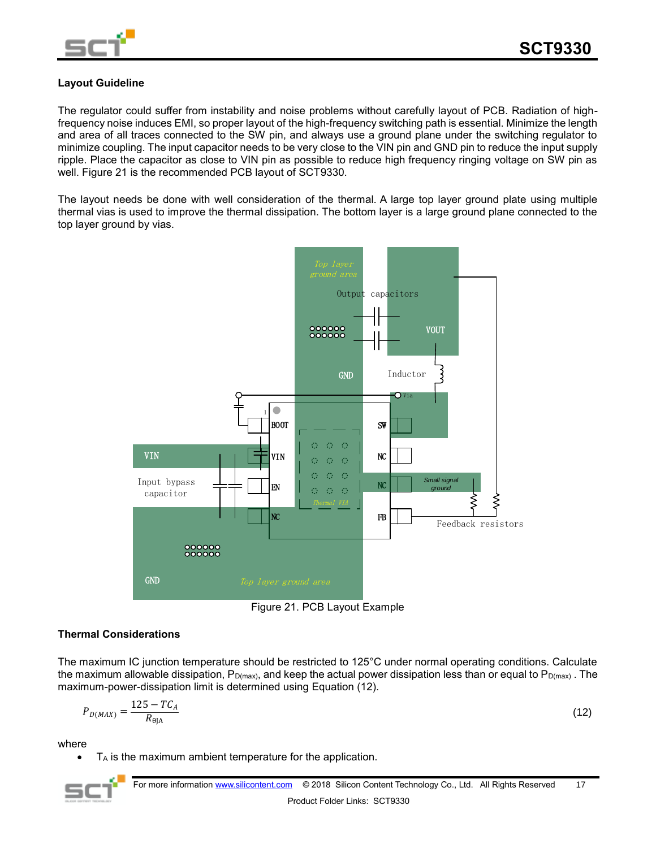

## **Layout Guideline**

The regulator could suffer from instability and noise problems without carefully layout of PCB. Radiation of highfrequency noise induces EMI, so proper layout of the high-frequency switching path is essential. Minimize the length and area of all traces connected to the SW pin, and always use a ground plane under the switching regulator to minimize coupling. The input capacitor needs to be very close to the VIN pin and GND pin to reduce the input supply ripple. Place the capacitor as close to VIN pin as possible to reduce high frequency ringing voltage on SW pin as well. Figure 21 is the recommended PCB layout of SCT9330.

The layout needs be done with well consideration of the thermal. A large top layer ground plate using multiple thermal vias is used to improve the thermal dissipation. The bottom layer is a large ground plane connected to the top layer ground by vias.



Figure 21. PCB Layout Example

## **Thermal Considerations**

The maximum IC junction temperature should be restricted to 125°C under normal operating conditions. Calculate the maximum allowable dissipation,  $P_{D(max)}$ , and keep the actual power dissipation less than or equal to  $P_{D(max)}$ . The maximum-power-dissipation limit is determined using Equation (12).

$$
P_{D(MAX)} = \frac{125 - TC_A}{R_{\theta|A}}
$$
 (12)

where

 $T_A$  is the maximum ambient temperature for the application.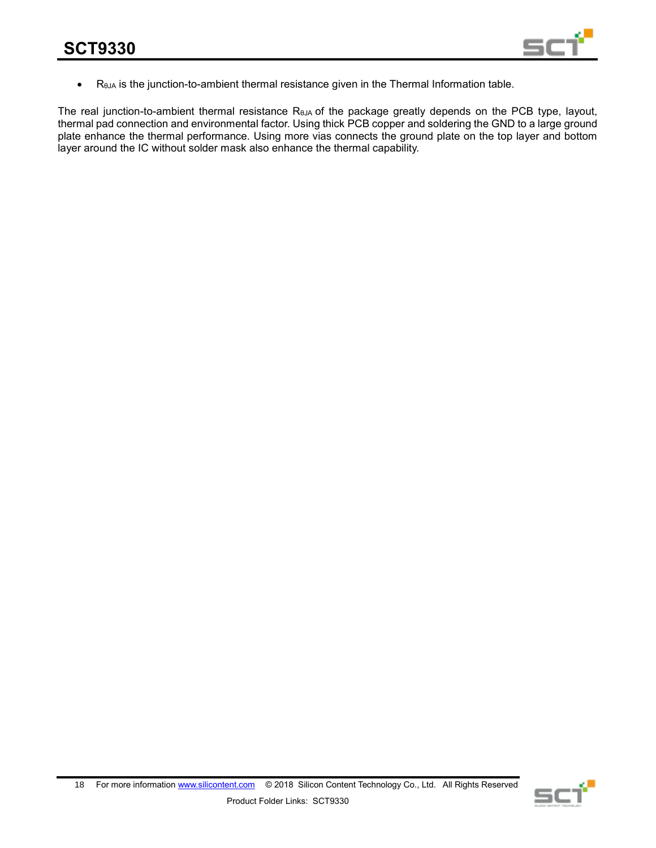

• R<sub>θJA</sub> is the junction-to-ambient thermal resistance given in the Thermal Information table.

The real junction-to-ambient thermal resistance R<sub>θJA</sub> of the package greatly depends on the PCB type, layout, thermal pad connection and environmental factor. Using thick PCB copper and soldering the GND to a large ground plate enhance the thermal performance. Using more vias connects the ground plate on the top layer and bottom layer around the IC without solder mask also enhance the thermal capability.

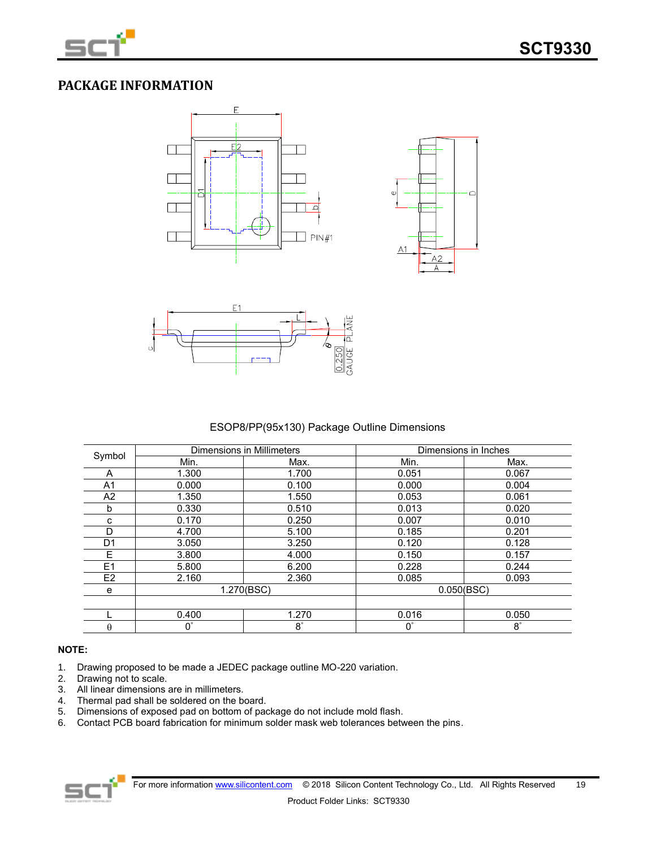

# **PACKAGE INFORMATION**







ESOP8/PP(95x130) Package Outline Dimensions

|                |             | <b>Dimensions in Millimeters</b> |             | Dimensions in Inches |
|----------------|-------------|----------------------------------|-------------|----------------------|
| Symbol         | Min.        | Max.                             | Min.        | Max.                 |
| A              | 1.300       | 1.700                            | 0.051       | 0.067                |
| A1             | 0.000       | 0.100                            | 0.000       | 0.004                |
| A2             | 1.350       | 1.550                            | 0.053       | 0.061                |
| b              | 0.330       | 0.510                            | 0.013       | 0.020                |
| с              | 0.170       | 0.250                            | 0.007       | 0.010                |
| D              | 4.700       | 5.100                            | 0.185       | 0.201                |
| D1             | 3.050       | 3.250                            | 0.120       | 0.128                |
| E              | 3.800       | 4.000                            | 0.150       | 0.157                |
| E1             | 5.800       | 6.200                            | 0.228       | 0.244                |
| E <sub>2</sub> | 2.160       | 2.360                            | 0.085       | 0.093                |
| е              | 1.270(BSC)  |                                  | 0.050(BSC)  |                      |
|                |             |                                  |             |                      |
|                | 0.400       | 1.270                            | 0.016       | 0.050                |
| θ              | $0^{\circ}$ | $\bar{8}^{\circ}$                | $0^{\circ}$ | $8^{\circ}$          |

### **NOTE:**

- 1. Drawing proposed to be made a JEDEC package outline MO-220 variation.
- 
- 2. Drawing not to scale.<br>3. All linear dimensions are in millimeters. 3. All linear dimensions are in millimeters.
- 4. Thermal pad shall be soldered on the board.
- 5. Dimensions of exposed pad on bottom of package do not include mold flash.
- 6. Contact PCB board fabrication for minimum solder mask web tolerances between the pins.

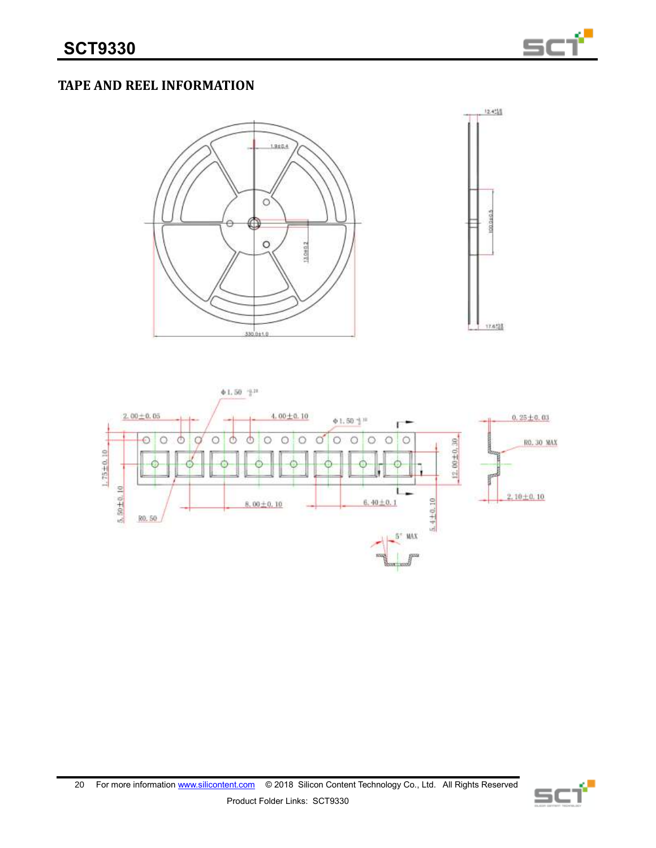

# **TAPE AND REEL INFORMATION**